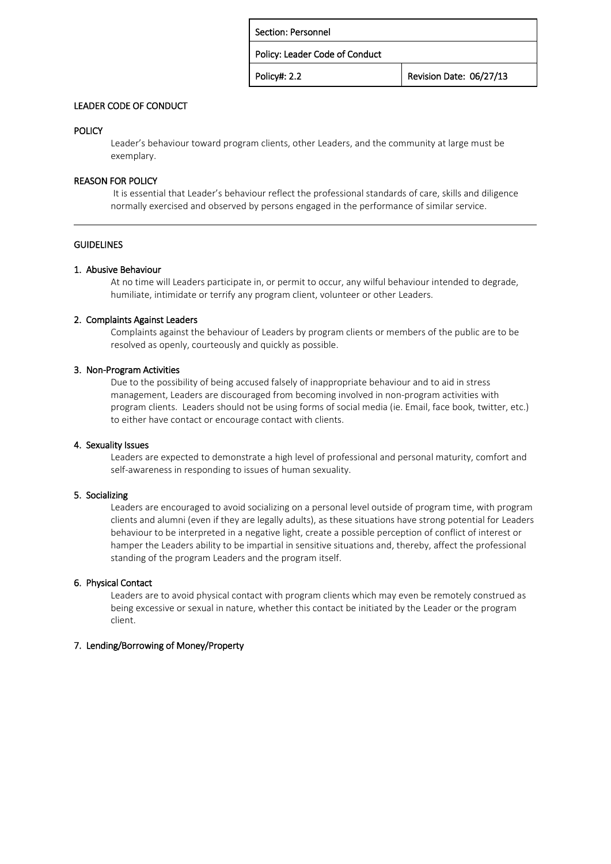| Revision Date: 06/27/13 |
|-------------------------|
|                         |

## LEADER CODE OF CONDUCT

# POLICY

Leader's behaviour toward program clients, other Leaders, and the community at large must be exemplary.

## REASON FOR POLICY

It is essential that Leader's behaviour reflect the professional standards of care, skills and diligence normally exercised and observed by persons engaged in the performance of similar service.

## **GUIDELINES**

## 1. Abusive Behaviour

At no time will Leaders participate in, or permit to occur, any wilful behaviour intended to degrade, humiliate, intimidate or terrify any program client, volunteer or other Leaders.

### 2. Complaints Against Leaders

Complaints against the behaviour of Leaders by program clients or members of the public are to be resolved as openly, courteously and quickly as possible.

### 3. Non-Program Activities

Due to the possibility of being accused falsely of inappropriate behaviour and to aid in stress management, Leaders are discouraged from becoming involved in non-program activities with program clients. Leaders should not be using forms of social media (ie. Email, face book, twitter, etc.) to either have contact or encourage contact with clients.

## 4. Sexuality Issues

Leaders are expected to demonstrate a high level of professional and personal maturity, comfort and self-awareness in responding to issues of human sexuality.

### 5. Socializing

Leaders are encouraged to avoid socializing on a personal level outside of program time, with program clients and alumni (even if they are legally adults), as these situations have strong potential for Leaders behaviour to be interpreted in a negative light, create a possible perception of conflict of interest or hamper the Leaders ability to be impartial in sensitive situations and, thereby, affect the professional standing of the program Leaders and the program itself.

### 6. Physical Contact

Leaders are to avoid physical contact with program clients which may even be remotely construed as being excessive or sexual in nature, whether this contact be initiated by the Leader or the program client.

# 7. Lending/Borrowing of Money/Property